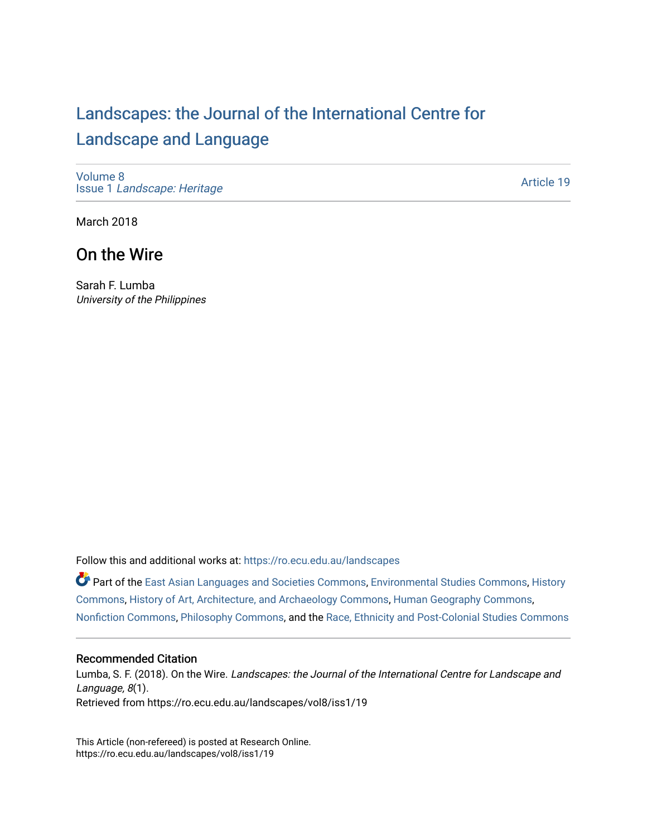# [Landscapes: the Journal of the International Centre for](https://ro.ecu.edu.au/landscapes) [Landscape and Language](https://ro.ecu.edu.au/landscapes)

[Volume 8](https://ro.ecu.edu.au/landscapes/vol8) Issue 1 [Landscape: Heritage](https://ro.ecu.edu.au/landscapes/vol8/iss1)

[Article 19](https://ro.ecu.edu.au/landscapes/vol8/iss1/19) 

March 2018

## On the Wire

Sarah F. Lumba University of the Philippines

Follow this and additional works at: [https://ro.ecu.edu.au/landscapes](https://ro.ecu.edu.au/landscapes?utm_source=ro.ecu.edu.au%2Flandscapes%2Fvol8%2Fiss1%2F19&utm_medium=PDF&utm_campaign=PDFCoverPages) 

Part of the [East Asian Languages and Societies Commons,](http://network.bepress.com/hgg/discipline/481?utm_source=ro.ecu.edu.au%2Flandscapes%2Fvol8%2Fiss1%2F19&utm_medium=PDF&utm_campaign=PDFCoverPages) [Environmental Studies Commons](http://network.bepress.com/hgg/discipline/1333?utm_source=ro.ecu.edu.au%2Flandscapes%2Fvol8%2Fiss1%2F19&utm_medium=PDF&utm_campaign=PDFCoverPages), [History](http://network.bepress.com/hgg/discipline/489?utm_source=ro.ecu.edu.au%2Flandscapes%2Fvol8%2Fiss1%2F19&utm_medium=PDF&utm_campaign=PDFCoverPages) [Commons](http://network.bepress.com/hgg/discipline/489?utm_source=ro.ecu.edu.au%2Flandscapes%2Fvol8%2Fiss1%2F19&utm_medium=PDF&utm_campaign=PDFCoverPages), [History of Art, Architecture, and Archaeology Commons](http://network.bepress.com/hgg/discipline/510?utm_source=ro.ecu.edu.au%2Flandscapes%2Fvol8%2Fiss1%2F19&utm_medium=PDF&utm_campaign=PDFCoverPages), [Human Geography Commons,](http://network.bepress.com/hgg/discipline/356?utm_source=ro.ecu.edu.au%2Flandscapes%2Fvol8%2Fiss1%2F19&utm_medium=PDF&utm_campaign=PDFCoverPages) [Nonfiction Commons,](http://network.bepress.com/hgg/discipline/1152?utm_source=ro.ecu.edu.au%2Flandscapes%2Fvol8%2Fiss1%2F19&utm_medium=PDF&utm_campaign=PDFCoverPages) [Philosophy Commons,](http://network.bepress.com/hgg/discipline/525?utm_source=ro.ecu.edu.au%2Flandscapes%2Fvol8%2Fiss1%2F19&utm_medium=PDF&utm_campaign=PDFCoverPages) and the [Race, Ethnicity and Post-Colonial Studies Commons](http://network.bepress.com/hgg/discipline/566?utm_source=ro.ecu.edu.au%2Flandscapes%2Fvol8%2Fiss1%2F19&utm_medium=PDF&utm_campaign=PDFCoverPages) 

#### Recommended Citation

Lumba, S. F. (2018). On the Wire. Landscapes: the Journal of the International Centre for Landscape and Language, 8(1). Retrieved from https://ro.ecu.edu.au/landscapes/vol8/iss1/19

This Article (non-refereed) is posted at Research Online. https://ro.ecu.edu.au/landscapes/vol8/iss1/19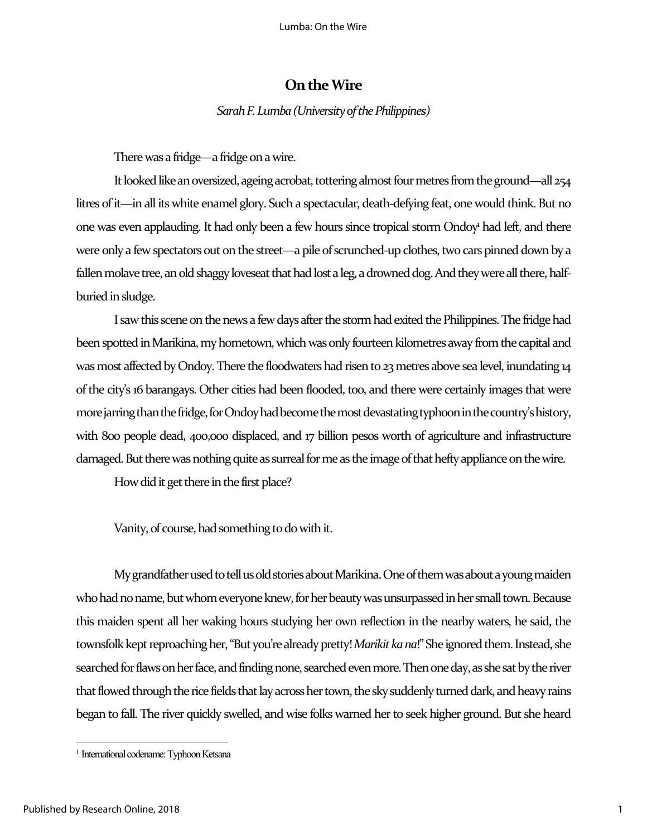### **On the Wire**

*Sarah F. Lumba(University of the Philippines)*

There was a fridge—a fridge on a wire.

It looked like an oversized, ageing acrobat, tottering almost four metres from the ground—all 254 litres of it—in all its white enamel glory. Such a spectacular, death-defying feat, one would think. But no one was even applauding. It had only been a few hours since tropical storm Ondoy<sup>1</sup> had left, and there were only a few spectators out on the street—a pile of scrunched-up clothes, two cars pinned down by a fallen molave tree, an old shaggy loveseat that had lost a leg, a drowned dog. And they were all there, halfburied in sludge.

I saw this scene on the news a few days after the stormhad exited the Philippines. The fridge had been spotted in Marikina, my hometown, which was only fourteen kilometres away from the capital and was most affected by Ondoy. There the floodwaters had risen to 23 metres above sea level, inundating 14 of the city's 16 barangays. Other cities had been flooded, too, and there were certainly images that were more jarring than the fridge, for Ondoy had become the most devastating typhoon in the country's history, with 800 people dead, 400,000 displaced, and 17 billion pesos worth of agriculture and infrastructure damaged. But there was nothing quite as surreal for me as the image of that hefty appliance on the wire.

How did it get there in the first place?

Vanity, of course, had something to do with it.

Mygrandfather used totell us old stories about Marikina. One of them was about a young maiden who had no name, but whom everyone knew, for her beauty was unsurpassed in her small town. Because this maiden spent all her waking hours studying her own reflection in the nearby waters, he said, the townsfolk kept reproaching her, "But you're already pretty! *Marikit ka na*!" She ignored them. Instead, she searched for flaws on her face, and finding none, searched even more. Then one day, as she sat by the river that flowed through the rice fields that lay across her town, the sky suddenly turned dark, and heavy rains began to fall. The river quickly swelled, and wise folks warned her to seek higher ground. But she heard

*<sup>1</sup> International codename: Typhoon Ketsana*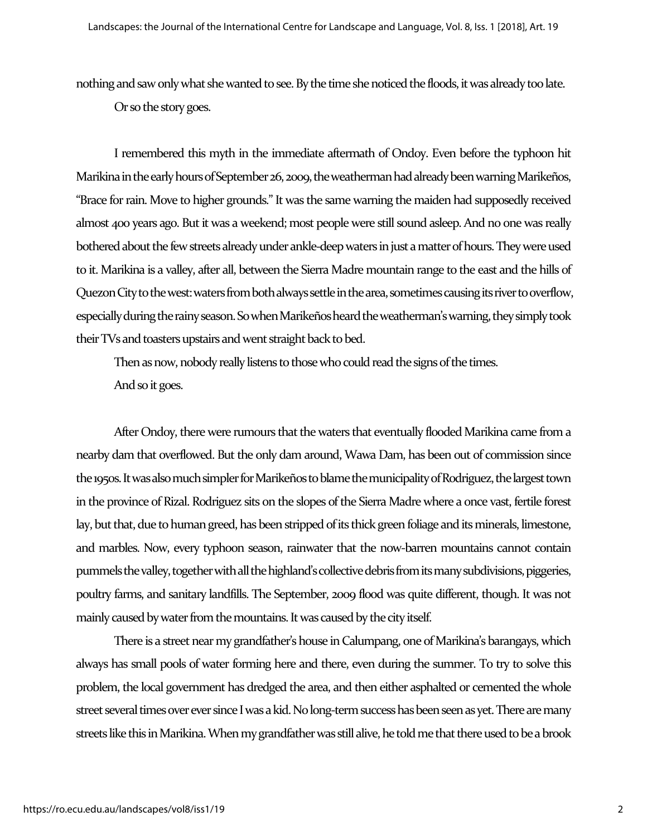nothing and saw only what she wanted to see. By the time she noticed the floods, it was already too late.

Or so the story goes.

I remembered this myth in the immediate aftermath of Ondoy. Even before the typhoon hit Marikina in the early hours of September 26, 2009, the weatherman had already been warningMarikeños, "Brace for rain. Move to higher grounds."It was the same warning the maiden had supposedly received almost 400 years ago. But it was a weekend; most people were still sound asleep. And no one was really bothered about the few streets already under ankle-deep waters in just a matter of hours. They were used to it. Marikina is a valley, after all, between the Sierra Madre mountain range to the east and the hills of Quezon City to the west: waters from both always settle in the area, sometimes causing its river to overflow, especially during the rainy season.So when Marikeñosheardthe weatherman's warning, they simply took their TVs and toasters upstairs and went straight back to bed.

Then as now, nobody really listens to those who could read the signs of the times. And so it goes.

After Ondoy, there were rumours that the waters that eventually flooded Marikina came from a nearby dam that overflowed. But the only dam around, Wawa Dam, has been out of commission since the 1950s. It was also much simpler for Marikeños to blame the municipality of Rodriguez, the largest town in the province of Rizal. Rodriguez sits on the slopes of the Sierra Madre where a once vast, fertile forest lay, but that, due to human greed, has been stripped of its thick green foliage and its minerals, limestone, and marbles. Now, every typhoon season, rainwater that the now-barren mountains cannot contain pummels the valley, together with all the highland's collective debris from its many subdivisions, piggeries, poultry farms, and sanitary landfills. The September, 2009 flood was quite different, though. It was not mainly caused by water from the mountains. It was caused by the city itself.

There is a street near my grandfather's house in Calumpang, one of Marikina's barangays, which always has small pools of water forming here and there, even during the summer. To try to solve this problem, the local government has dredged the area, and then either asphalted or cemented the whole street several times over ever since I was a kid. No long-term success has been seen as yet. There are many streets like this in Marikina. When my grandfather was still alive, he told me that there used to be a brook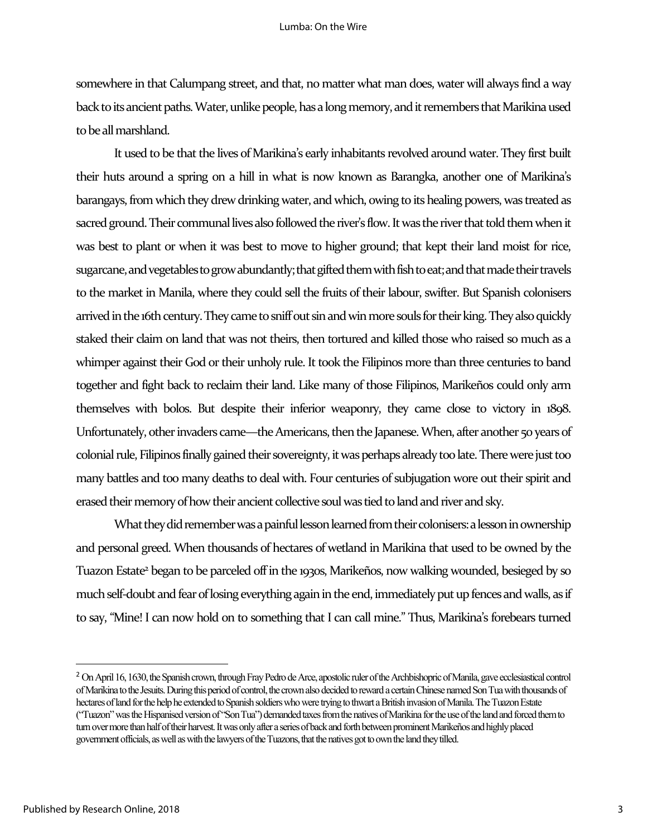somewhere in that Calumpang street, and that, no matter what man does, water will always find a way back to its ancient paths. Water, unlike people, has a long memory, and it remembers that Marikina used to be all marshland.

It used to be that the lives of Marikina's early inhabitants revolved around water. They first built their huts around a spring on a hill in what is now known as Barangka, another one of Marikina's barangays, from which they drew drinking water, and which, owing to its healing powers, was treated as sacred ground. Their communal lives also followed the river's flow. It was the river that told them when it was best to plant or when it was best to move to higher ground; that kept their land moist for rice, sugarcane, and vegetables to grow abundantly; that gifted them with fish to eat; and that made their travels to the market in Manila, where they could sell the fruits of their labour, swifter. But Spanish colonisers arrived in the 16th century. They came to sniff out sin and win more souls for their king. They also quickly staked their claim on land that was not theirs, then tortured and killed those who raised so much as a whimper against their God or their unholy rule. It took the Filipinos more than three centuries to band together and fight back to reclaim their land. Like many of those Filipinos, Marikeños could only arm themselves with bolos. But despite their inferior weaponry, they came close to victory in 1898. Unfortunately, other invaders came—the Americans, then the Japanese. When, after another 50 years of colonial rule, Filipinos finally gained their sovereignty, it was perhaps already too late. There were just too many battles and too many deaths to deal with. Four centuries of subjugation wore out their spirit and erased their memory of how their ancient collective soul was tied to land and river and sky.

What they did remember was a painful lesson learned from their colonisers: a lesson in ownership and personal greed. When thousands of hectares of wetland in Marikina that used to be owned by the Tuazon Estate<sup>2</sup> began to be parceled off in the 1930s, Marikeños, now walking wounded, besieged by so much self-doubt and fear of losing everything again in the end, immediately put up fences and walls, as if to say, "Mine! I can now hold on to something that I can call mine." Thus, Marikina's forebears turned

<sup>&</sup>lt;sup>2</sup> On April 16, 1630, the Spanish crown, through Fray Pedro de Arce, apostolic ruler of the Archbishopric of Manila, gave ecclesiastical control *of Marikina to the Jesuits. During this period of control, the crown also decidedto reward a certain Chinese named Son Tua with thousands of hectares of land for the help he extended to Spanish soldiers who were trying to thwart a British invasion of Manila. The Tuazon Estate ("Tuazon" was the Hispanisedversion of "Son Tua")demanded taxes from the natives of Marikina for the use of the land and forced them to turn over more than half of their harvest. It was only after a series of back and forth between prominent Marikeños and highly placed government officials, as well as with the lawyers of the Tuazons, thatthe natives got to own the land they tilled.*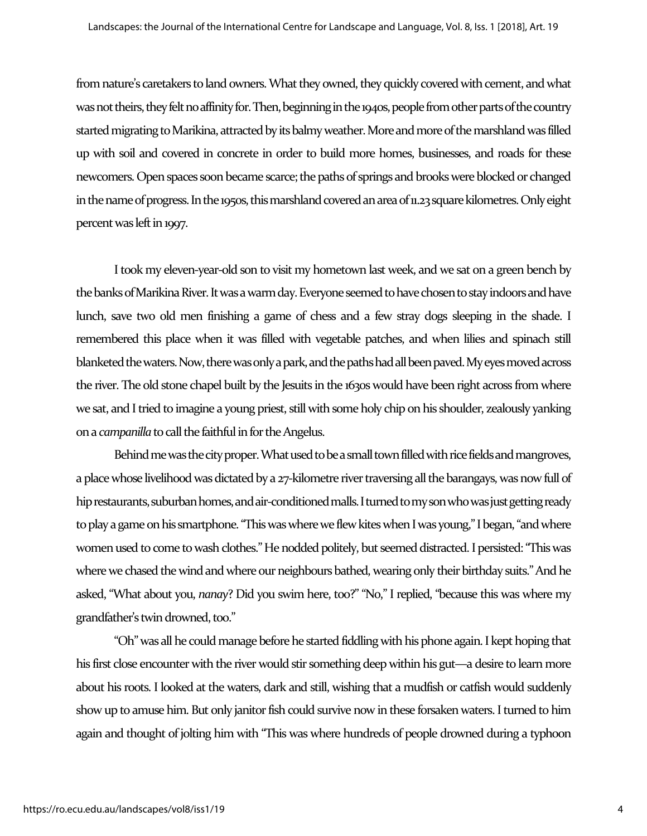from nature's caretakers to land owners. What they owned, they quickly covered with cement, and what was not theirs, they felt no affinity for. Then, beginning in the 1940s, people from other parts of the country started migrating to Marikina, attracted by its balmy weather. More and more of the marshland was filled up with soil and covered in concrete in order to build more homes, businesses, and roads for these newcomers. Open spaces soon became scarce; the paths of springs and brooks were blocked or changed in the name of progress. In the 1950s, this marshland covered an area of 11.23 square kilometres. Only eight percent was left in 1997.

I took my eleven-year-old son to visit my hometown last week, and we sat on a green bench by the banks of Marikina River. It was a warm day. Everyone seemed to have chosen to stayindoorsand have lunch, save two old men finishing a game of chess and a few stray dogs sleeping in the shade. I remembered this place when it was filled with vegetable patches, and when lilies and spinach still blanketed the waters. Now, there was only a park, and the paths had all been paved. My eyes moved across the river. The old stone chapel built by the Jesuits in the 1630s would have been right across from where we sat, and I tried to imagine a young priest, still with some holy chip on his shoulder, zealously yanking on a *campanilla*to call the faithful in for the Angelus.

Behind me was the city proper. What used to be a small town filled with rice fields and mangroves, a place whose livelihood was dictated by a 27-kilometre river traversing all the barangays, was now full of hip restaurants, suburban homes, and air-conditioned malls. I turned to my son who was just getting ready to play a game on his smartphone. "This was where we flew kites when I was young," I began, "and where women used to come to wash clothes." He nodded politely, but seemed distracted. I persisted: "This was where we chased the wind and where our neighbours bathed, wearing only their birthday suits." And he asked, "What about you, *nanay*? Did you swim here, too?" "No," I replied, "because this was where my grandfather's twin drowned, too."

"Oh" was all he could manage before he started fiddling with his phone again. I kept hoping that his first close encounter with the river would stir something deep within his gut—a desire to learn more about his roots. I looked at the waters, dark and still, wishing that a mudfish or catfish would suddenly show up to amuse him. But only janitor fish could survive now in these forsaken waters. I turned to him again and thought of jolting him with "This was where hundreds of people drowned during a typhoon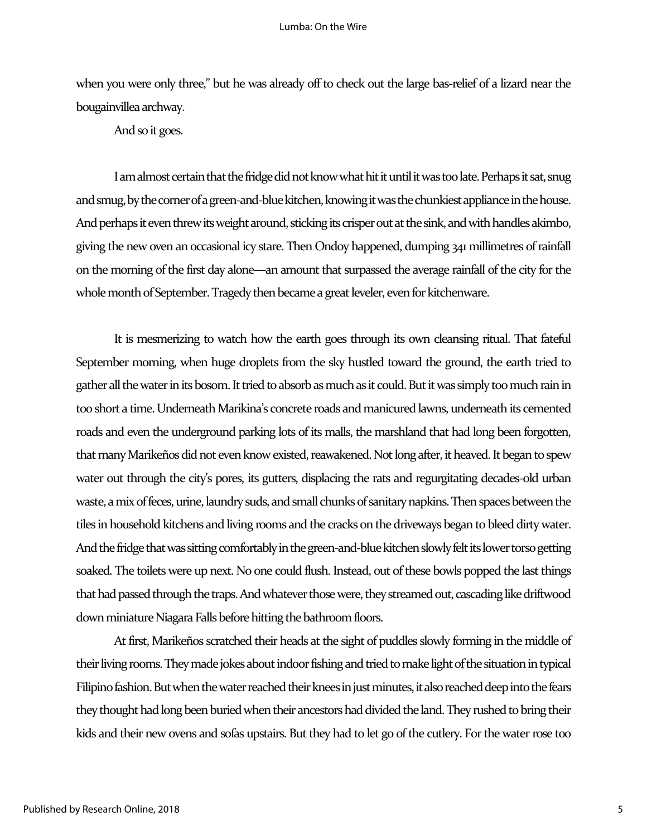when you were only three," but he was already off to check out the large bas-relief of a lizard near the bougainvillea archway.

And so it goes.

I am almost certain that the fridge did not know what hit it until it was too late. Perhaps it sat, snug and smug, by the corner of a green-and-blue kitchen, knowing it was the chunkiest appliance in the house. And perhaps it even threw its weight around, sticking its crisper out at the sink, and with handles akimbo, giving the new oven an occasional icy stare. Then Ondoy happened, dumping 341 millimetres of rainfall on the morning of the first day alone—an amount that surpassed the average rainfall of the city for the whole month of September. Tragedy then became a great leveler, even for kitchenware.

It is mesmerizing to watch how the earth goes through its own cleansing ritual. That fateful September morning, when huge droplets from the sky hustled toward the ground, the earth tried to gather all the water in its bosom. It tried to absorb as much as it could. But it was simply too much rain in too short a time. Underneath Marikina's concrete roads and manicured lawns, underneath its cemented roads and even the underground parking lots of its malls, the marshland that had long been forgotten, that many Marikeños did not even know existed, reawakened. Not long after, it heaved. It began to spew water out through the city's pores, its gutters, displacing the rats and regurgitating decades-old urban waste, a mix of feces, urine, laundry suds, and small chunks of sanitary napkins. Then spaces between the tiles in household kitchens and living rooms and the cracks on the driveways began to bleed dirty water. And the fridge that was sitting comfortably in the green-and-blue kitchen slowly felt its lower torso getting soaked. The toilets were up next. No one could flush. Instead, out of these bowls popped the last things that had passed through the traps. And whatever those were, they streamed out, cascading like driftwood down miniature Niagara Falls before hitting the bathroom floors.

At first, Marikeños scratched their heads at the sight of puddles slowly forming in the middle of their living rooms. They made jokes about indoor fishing and tried to make light of the situation in typical Filipino fashion. But when the water reached their knees in just minutes, it also reached deep into the fears they thought had long been buried when their ancestors had divided the land. They rushed to bring their kids and their new ovens and sofas upstairs. But they had to let go of the cutlery. For the water rose too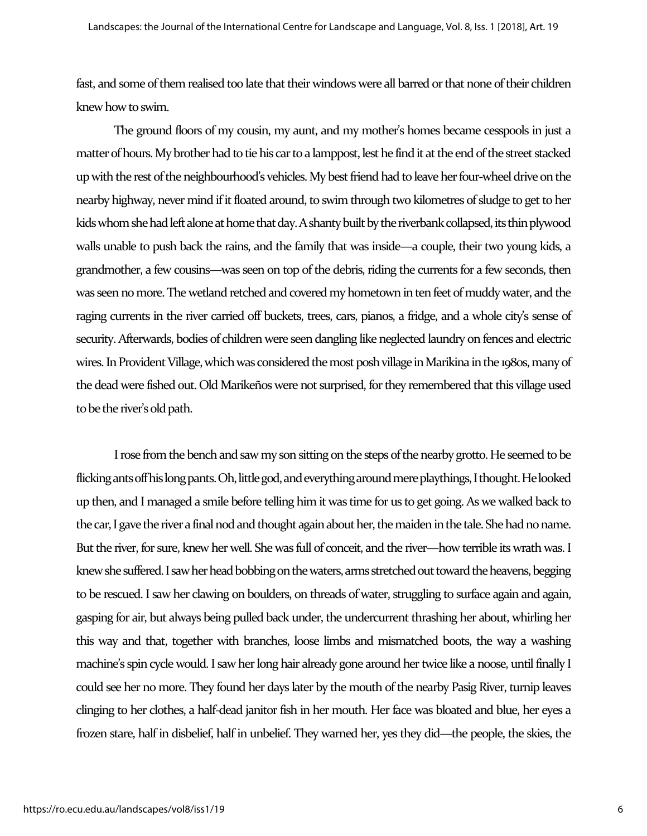fast, and some of them realised too late that their windows were all barred orthat none of their children knew how to swim.

The ground floors of my cousin, my aunt, and my mother's homes became cesspools in just a matter of hours. My brother had to tie his car to a lamppost, lest he find it at the end of the street stacked up with the rest of the neighbourhood's vehicles. My best friend had to leave her four-wheel drive on the nearby highway, never mind if it floated around, to swim through two kilometres of sludge to get to her kids whom she had left alone at home that day. A shanty built by the riverbank collapsed, its thin plywood walls unable to push back the rains, and the family that was inside—a couple, their two young kids, a grandmother, a few cousins—was seen on top of the debris, riding the currents for a few seconds, then was seen no more. The wetland retched and covered my hometown in ten feet of muddy water, and the raging currents in the river carried off buckets, trees, cars, pianos, a fridge, and a whole city's sense of security. Afterwards, bodies of children were seen dangling like neglected laundry on fences and electric wires. In Provident Village, which was considered the most posh village in Marikina in the 1980s, many of the dead were fished out. Old Marikeños were not surprised, for they remembered that this village used to be the river's old path.

I rose from the bench and saw my son sitting on the steps of the nearby grotto. He seemed to be flicking ants off his long pants. Oh, little god, and everything around mere playthings, I thought. He looked up then, and I managed a smile before telling him it was time for us to get going. As we walked back to the car, I gave the river a final nod and thought again about her, the maiden in the tale. She had no name. But the river, for sure, knew her well. She was full of conceit, and the river—how terrible its wrath was. I knew she suffered.I sawher head bobbing on the waters, arms stretched out toward the heavens, begging to be rescued. I saw her clawing on boulders, on threads of water, struggling to surface again and again, gasping for air, but always being pulled back under, the undercurrent thrashing her about, whirling her this way and that, together with branches, loose limbs and mismatched boots, the way a washing machine's spin cycle would. I saw her long hair already gone around her twice like a noose, until finally I could see her no more. They found her days later by the mouth of the nearby Pasig River, turnip leaves clinging to her clothes, a half-dead janitor fish in her mouth. Her face was bloated and blue, her eyes a frozen stare, half in disbelief, half in unbelief. They warned her, yes they did—the people, the skies, the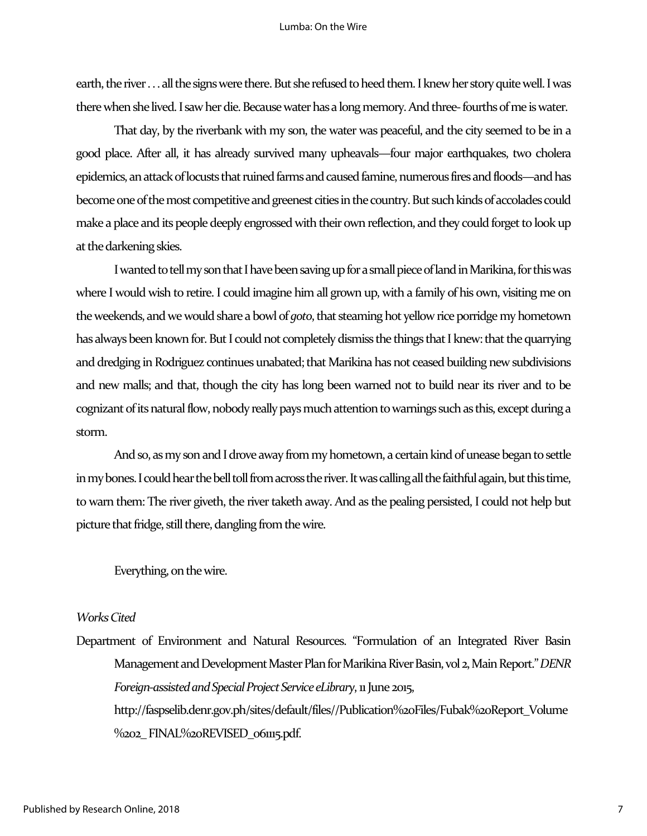earth, the river . . . all the signs were there. But she refused to heed them. I knew her story quite well. I was there when she lived. I saw her die. Because water has a long memory. And three-fourths of me is water.

That day, by the riverbank with my son, the water was peaceful, and the city seemed to be in a good place. After all, it has already survived many upheavals—four major earthquakes, two cholera epidemics, an attack of locusts that ruined farms and caused famine, numerous fires and floods—and has become one of the most competitive and greenest cities in the country. But such kinds of accolades could make a place and its people deeply engrossed with their own reflection, and they could forget to look up at the darkening skies.

I wanted to tell my son that I have been saving up for a small piece of land in Marikina, for this was where I would wish to retire. I could imagine him all grown up, with a family of his own, visiting me on the weekends, and we would share a bowl of *goto*, that steaming hot yellow rice porridge my hometown has always been known for. But I could not completely dismiss the things that I knew: that the quarrying and dredging in Rodriguez continues unabated; that Marikina has not ceased building new subdivisions and new malls; and that, though the city has long been warned not to build near its river and to be cognizant of its natural flow, nobody really pays much attention to warnings such as this, except during a storm.

And so, as my son and I drove away from my hometown, a certain kind of unease began to settle in my bones. I could hear the bell toll from across the river. It was calling all the faithful again, but this time, to warn them: The river giveth, the river taketh away. And as the pealing persisted, I could not help but picture that fridge, still there, dangling from the wire.

Everything, on the wire.

#### *Works Cited*

Department of Environment and Natural Resources. "Formulation of an Integrated River Basin Management and Development Master Plan for Marikina River Basin,vol 2, Main Report." *DENR Foreign-assisted and Special Project Service eLibrary*, 11 June 2015, http://faspselib.denr.gov.ph/sites/default/files//Publication%20Files/Fubak%20Report\_Volume %202\_FINAL%20REVISED\_061115.pdf.